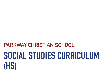**PARKWAY CHRISTIAN SCHOOL**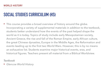‣ This course provides a broad overview of history around the globe. Incorporating a variety of supplemental materials in addition to the textbook, students better understand how the events of the past helped shape the world as it is today. Topics of study include early Mesopotamian society, Ancient Greece, the rise and fall of the Roman Empire, early African culture, the great Chinese dynasties, Europe in the Middle Ages, the Reformation and events leading up to the first two World Wars. However, this is by no means an exhaustive list. Students examine major historical events, eras, and historical figures. Teachers present all material from a Biblical Worldview.

*Textbook* 

‣ *Glencoe World History*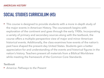‣ This course is designed to provide students with a more in-depth study of the major events in American History. The coursework begins with exploration of the continent and goes through the early 1900s. Incorporating a variety of primary and secondary sources along with the textbook, the course offers a multiple-perspective view of major and minor American historical events. Additionally, the class examines how events of the nation's past have shaped the present-day United States. Students gain a better appreciation for and understanding of the events and historical figures in the nation's history. Teachers present all materials from a Biblical Worldview while meeting the framework of the Common Core Standards.

*Textbook* 

‣ *America: Pathways to the Present*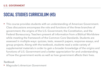‣ This course provides students with an understanding of American Government. Class discussions encompass the role and functions of the three branches of government, the origins of the U.S. Government, the Constitution, and the Federal Bureaucracy. Teachers present all information from a Biblical Worldview while meeting the framework of the Common Core Standards. Students are assessed in multiple ways: quizzes, tests, research papers, response essays, and group projects. Along with the textbook, students read a wide variety of supplemental materials in order to gain a broader knowledge of the origins and functions of U.S. Government and a better appreciation for and understanding of how the government works as well as how government affects their lives.

### *Textbook*

‣ *Magruder's American Government*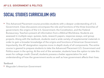‣ This Advanced Placement course provides students with a deeper understanding of U.S. Government. Class discussions encompass the role and functions of the three branches of government, the origins of the U.S. Government, the Constitution, and the Federal Bureaucracy. Teachers present all information from a Biblical Worldview. Students are assessed in multiple ways: quizzes, tests, research papers, response essays, and group projects. Along with the textbook, students read a wide variety of supplemental materials in order to gain a broader knowledge of the origins and functions of American Government. Importantly, the AP designation requires more in-depth study of all components. The entire course is geared to prepare students to take the Advanced Placement U.S. Government and Politics exam in the spring. At the end of the semester, students have the option to take this exam for college credit. Overall, students possess a better appreciation for and understanding of how the government works as well as how government affects their lives.

#### *Textbook*

‣ *Magruder's American Government*